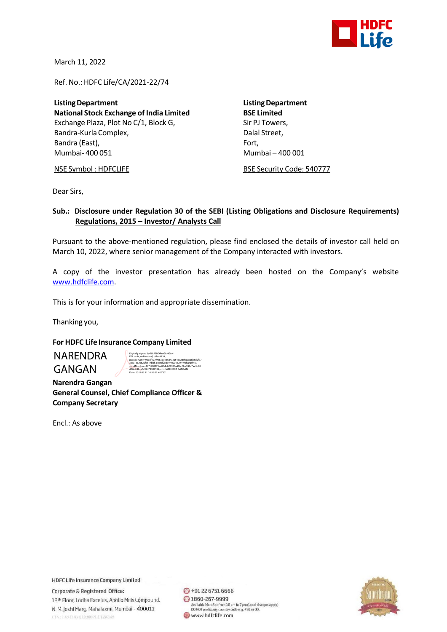

March 11, 2022

Ref. No.: HDFC Life/CA/2021-22/74

**ListingDepartment ListingDepartment National Stock Exchange of India Limited** Exchange Plaza, Plot No C/1, Block G, Sir PJ Towers, Bandra-Kurla Complex, and the complexed of the Dalal Street, Bandra (East), Fort, Fort, Fort, Fort, Fort, Fort, Fort, Fort, Fort, Fort, Fort, Fort, Fort, Fort, Fort, Fort, Mumbai- 400 051 Mumbai – 400 001

NSE Symbol : HDFCLIFE BSE Security Code: 540777

Dear Sirs,

## **Sub.: Disclosure under Regulation 30 of the SEBI (Listing Obligations and Disclosure Requirements) Regulations, 2015 – Investor/ Analysts Call**

Pursuant to the above-mentioned regulation, please find enclosed the details of investor call held on March 10, 2022, where senior management of the Company interacted with investors.

A copy of the investor presentation has already been hosted on the Company's website [www.hdfclife.com.](http://www.hdfclife.com/)

This is for your information and appropriate dissemination.

Thanking you,

## **For HDFC Life Insurance Company Limited**

NARENDRA GANGAN

Digitally signed by NARENDRA GANGAN DN: c=IN, o=Personal, title=9139, pseudonym=49cedf407f9963bee3624ac0546c289bca826b5d2f77 3caa1ec26522fa517bbf, postalCode=400016, st=Maharashtra, serialNumber=477bf60273ae81dbb28910a48bc6ba744a7ae3b05 d66f4fd94a6c99479307592, cn=NARENDRA GANGAN Date: 2022.03.11 16:56:51 +05'30'

 **Narendra Gangan General Counsel, Chief Compliance Officer & Company Secretary**

Encl.: As above

**HDFC Life Insurance Company Limited** 

Corporate & Registered Office: 13th Floor, Lodha Excelus, Apollo Mills Compound, N. M. Joshi Marg, Mahalaxmi, Mumbai - 400011 CINTERSUM/H2000PLC128345

→91 22 6751 6666 ◎ 1860-267-9999 Available Mon-Sat from 10 am to 7 pm (Local charges apply)<br>DO NOT prefix any country code e.g. +91 or 00. www.hdfclife.com